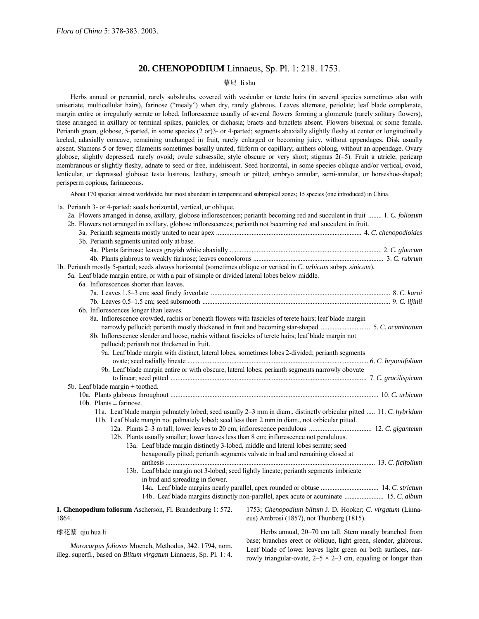# **20. CHENOPODIUM** Linnaeus, Sp. Pl. 1: 218. 1753.

## 藜属 li shu

Herbs annual or perennial, rarely subshrubs, covered with vesicular or terete hairs (in several species sometimes also with uniseriate, multicellular hairs), farinose ("mealy") when dry, rarely glabrous. Leaves alternate, petiolate; leaf blade complanate, margin entire or irregularly serrate or lobed. Inflorescence usually of several flowers forming a glomerule (rarely solitary flowers), these arranged in axillary or terminal spikes, panicles, or dichasia; bracts and bractlets absent. Flowers bisexual or some female. Perianth green, globose, 5-parted, in some species (2 or)3- or 4-parted; segments abaxially slightly fleshy at center or longitudinally keeled, adaxially concave, remaining unchanged in fruit, rarely enlarged or becoming juicy, without appendages. Disk usually absent. Stamens 5 or fewer; filaments sometimes basally united, filiform or capillary; anthers oblong, without an appendage. Ovary globose, slightly depressed, rarely ovoid; ovule subsessile; style obscure or very short; stigmas  $2(-5)$ . Fruit a utricle; pericarp membranous or slightly fleshy, adnate to seed or free, indehiscent. Seed horizontal, in some species oblique and/or vertical, ovoid, lenticular, or depressed globose; testa lustrous, leathery, smooth or pitted; embryo annular, semi-annular, or horseshoe-shaped; perisperm copious, farinaceous.

About 170 species: almost worldwide, but most abundant in temperate and subtropical zones; 15 species (one introduced) in China.

1a. Perianth 3- or 4-parted; seeds horizontal, vertical, or oblique.

| 2a. Flowers arranged in dense, axillary, globose inflorescences; perianth becoming red and succulent in fruit  1. C. foliosum      |
|------------------------------------------------------------------------------------------------------------------------------------|
| 2b. Flowers not arranged in axillary, globose inflorescences; perianth not becoming red and succulent in fruit.                    |
|                                                                                                                                    |
| 3b. Perianth segments united only at base.                                                                                         |
|                                                                                                                                    |
|                                                                                                                                    |
| 1b. Perianth mostly 5-parted; seeds always horizontal (sometimes oblique or vertical in C. urbicum subsp. sinicum).                |
| 5a. Leaf blade margin entire, or with a pair of simple or divided lateral lobes below middle.                                      |
| 6a. Inflorescences shorter than leaves.                                                                                            |
|                                                                                                                                    |
|                                                                                                                                    |
| 6b. Inflorescences longer than leaves.                                                                                             |
| 8a. Inflorescence crowded, rachis or beneath flowers with fascicles of terete hairs; leaf blade margin                             |
|                                                                                                                                    |
| 8b. Inflorescence slender and loose, rachis without fascicles of terete hairs; leaf blade margin not                               |
| pellucid; perianth not thickened in fruit.                                                                                         |
| 9a. Leaf blade margin with distinct, lateral lobes, sometimes lobes 2-divided; perianth segments                                   |
|                                                                                                                                    |
| 9b. Leaf blade margin entire or with obscure, lateral lobes; perianth segments narrowly obovate                                    |
|                                                                                                                                    |
| 5b. Leaf blade margin $\pm$ toothed.                                                                                               |
|                                                                                                                                    |
| 10b. Plants $\pm$ farinose.                                                                                                        |
| 11a. Leaf blade margin palmately lobed; seed usually 2-3 mm in diam., distinctly orbicular pitted  11. C. hybridum                 |
| 11b. Leaf blade margin not palmately lobed; seed less than 2 mm in diam., not orbicular pitted.                                    |
|                                                                                                                                    |
| 12b. Plants usually smaller; lower leaves less than 8 cm; inflorescence not pendulous.                                             |
| 13a. Leaf blade margin distinctly 3-lobed, middle and lateral lobes serrate; seed                                                  |
| hexagonally pitted; perianth segments valvate in bud and remaining closed at                                                       |
|                                                                                                                                    |
| 13b. Leaf blade margin not 3-lobed; seed lightly lineate; perianth segments imbricate                                              |
| in bud and spreading in flower.                                                                                                    |
|                                                                                                                                    |
| 14b. Leaf blade margins distinctly non-parallel, apex acute or acuminate  15. C. album                                             |
| <b>1. Chenopodium foliosum</b> Ascherson El Brandenburg 1:572 $\frac{1753}{2}$ Chenopodium blitum I D. Hooker: C. virgatum (Linna- |

**1. Chenopodium foliosum** Ascherson, Fl. Brandenburg 1: 572. 1864.

1753; *Chenopodium blitum* J. D. Hooker; *C. virgatum* (Linnaeus) Ambrosi (1857), not Thunberg (1815).

球花藜 qiu hua li

*Morocarpus foliosus* Moench, Methodus, 342. 1794, nom. illeg. superfl., based on *Blitum virgatum* Linnaeus, Sp. Pl. 1: 4.

Herbs annual, 20-70 cm tall. Stem mostly branched from base; branches erect or oblique, light green, slender, glabrous. Leaf blade of lower leaves light green on both surfaces, narrowly triangular-ovate,  $2-5 \times 2-3$  cm, equaling or longer than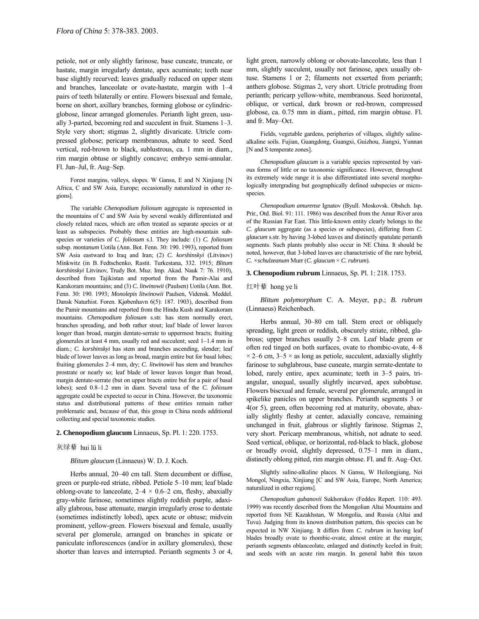petiole, not or only slightly farinose, base cuneate, truncate, or hastate, margin irregularly dentate, apex acuminate; teeth near base slightly recurved; leaves gradually reduced on upper stem and branches, lanceolate or ovate-hastate, margin with  $1-4$ pairs of teeth bilaterally or entire. Flowers bisexual and female, borne on short, axillary branches, forming globose or cylindricglobose, linear arranged glomerules. Perianth light green, usually 3-parted, becoming red and succulent in fruit. Stamens  $1-3$ . Style very short; stigmas 2, slightly divaricate. Utricle compressed globose; pericarp membranous, adnate to seed. Seed vertical, red-brown to black, sublustrous, ca. 1 mm in diam., rim margin obtuse or slightly concave; embryo semi-annular. Fl. Jun-Jul, fr. Aug-Sep.

Forest margins, valleys, slopes. W Gansu, E and N Xinjiang [N Africa, C and SW Asia, Europe; occasionally naturalized in other regions].

The variable *Chenopodium foliosum* aggregate is represented in the mountains of C and SW Asia by several weakly differentiated and closely related races, which are often treated as separate species or at least as subspecies. Probably these entities are high-mountain subspecies or varieties of *C. foliosum* s.l. They include: (1) *C. foliosum* subsp. *montanum* Uotila (Ann. Bot. Fenn. 30: 190. 1993), reported from SW Asia eastward to Iraq and Iran; (2) *C. korshinskyi* (Litvinov) Minkwitz (in B. Fedtschenko, Rastit. Turkestana, 332. 1915; *Blitum korshinskyi* Litvinov, Trudy Bot. Muz. Imp. Akad. Nauk 7: 76. 1910), described from Tajikistan and reported from the Pamir-Alai and Karakoram mountains; and (3) *C. litwinowii* (Paulsen) Uotila (Ann. Bot. Fenn. 30: 190. 1993; *Monolepis litwinowii* Paulsen, Vidensk. Meddel. Dansk Naturhist. Foren. Kjøbenhavn 6(5): 187. 1903), described from the Pamir mountains and reported from the Hindu Kush and Karakoram mountains. *Chenopodium foliosum* s.str. has stem normally erect, branches spreading, and both rather stout; leaf blade of lower leaves longer than broad, margin dentate-serrate to uppermost bracts; fruiting glomerules at least 4 mm, usually red and succulent; seed  $1-1.4$  mm in diam.; *C. korshinskyi* has stem and branches ascending, slender; leaf blade of lower leaves as long as broad, margin entire but for basal lobes; fruiting glomerules 2-4 mm, dry; *C. litwinowii* has stem and branches prostrate or nearly so; leaf blade of lower leaves longer than broad, margin dentate-serrate (but on upper bracts entire but for a pair of basal lobes); seed 0.8-1.2 mm in diam. Several taxa of the *C. foliosum* aggregate could be expected to occur in China. However, the taxonomic status and distributional patterns of these entities remain rather problematic and, because of that, this group in China needs additional collecting and special taxonomic studies.

### **2. Chenopodium glaucum** Linnaeus, Sp. Pl. 1: 220. 1753.

#### 灰绿藜 hui lü li

*Blitum glaucum* (Linnaeus) W. D. J. Koch.

Herbs annual, 20–40 cm tall. Stem decumbent or diffuse, green or purple-red striate, ribbed. Petiole 5-10 mm; leaf blade oblong-ovate to lanceolate,  $2-4 \times 0.6-2$  cm, fleshy, abaxially gray-white farinose, sometimes slightly reddish purple, adaxially glabrous, base attenuate, margin irregularly erose to dentate (sometimes indistinctly lobed), apex acute or obtuse; midvein prominent, yellow-green. Flowers bisexual and female, usually several per glomerule, arranged on branches in spicate or paniculate inflorescences (and/or in axillary glomerules), these shorter than leaves and interrupted. Perianth segments 3 or 4, light green, narrowly oblong or obovate-lanceolate, less than 1 mm, slightly succulent, usually not farinose, apex usually obtuse. Stamens 1 or 2; filaments not exserted from perianth; anthers globose. Stigmas 2, very short. Utricle protruding from perianth; pericarp yellow-white, membranous. Seed horizontal, oblique, or vertical, dark brown or red-brown, compressed globose, ca. 0.75 mm in diam., pitted, rim margin obtuse. Fl. and fr. May-Oct.

Fields, vegetable gardens, peripheries of villages, slightly salinealkaline soils. Fujian, Guangdong, Guangxi, Guizhou, Jiangxi, Yunnan [N and S temperate zones].

*Chenopodium glaucum* is a variable species represented by various forms of little or no taxonomic significance. However, throughout its extremely wide range it is also differentiated into several morphologically intergrading but geographically defined subspecies or microspecies.

*Chenopodium amurense* Ignatov (Byull. Moskovsk. Obshch. Isp. Prir., Otd. Biol. 91: 111. 1986) was described from the Amur River area of the Russian Far East. This little-known entity clearly belongs to the *C. glaucum* aggregate (as a species or subspecies), differing from *C. glaucum* s.str. by having 3-lobed leaves and distinctly spatulate perianth segments. Such plants probably also occur in NE China. It should be noted, however, that 3-lobed leaves are characteristic of the rare hybrid, *C. ×schulzeanum* Murr (*C. glaucum* × *C. rubrum*).

#### **3. Chenopodium rubrum** Linnaeus, Sp. Pl. 1: 218. 1753.

### 红叶藜 hong ye li

*Blitum polymorphum* C. A. Meyer, p.p.; *B. rubrum* (Linnaeus) Reichenbach.

Herbs annual, 30–80 cm tall. Stem erect or obliquely spreading, light green or reddish, obscurely striate, ribbed, glabrous; upper branches usually 2-8 cm. Leaf blade green or often red tinged on both surfaces, ovate to rhombic-ovate, 4-8  $\times$  2–6 cm, 3–5  $\times$  as long as petiole, succulent, adaxially slightly farinose to subglabrous, base cuneate, margin serrate-dentate to lobed, rarely entire, apex acuminate; teeth in  $3-5$  pairs, triangular, unequal, usually slightly incurved, apex subobtuse. Flowers bisexual and female, several per glomerule, arranged in spikelike panicles on upper branches. Perianth segments 3 or 4(or 5), green, often becoming red at maturity, obovate, abaxially slightly fleshy at center, adaxially concave, remaining unchanged in fruit, glabrous or slightly farinose. Stigmas 2, very short. Pericarp membranous, whitish, not adnate to seed. Seed vertical, oblique, or horizontal, red-black to black, globose or broadly ovoid, slightly depressed, 0.75-1 mm in diam., distinctly oblong pitted, rim margin obtuse. Fl. and fr. Aug-Oct.

Slightly saline-alkaline places. N Gansu, W Heilongjiang, Nei Mongol, Ningxia, Xinjiang [C and SW Asia, Europe, North America; naturalized in other regions].

*Chenopodium gubanovii* Sukhorukov (Feddes Repert. 110: 493. 1999) was recently described from the Mongolian Altai Mountains and reported from NE Kazakhstan, W Mongolia, and Russia (Altai and Tuva). Judging from its known distribution pattern, this species can be expected in NW Xinjiang. It differs from *C. rubrum* in having leaf blades broadly ovate to rhombic-ovate, almost entire at the margin; perianth segments oblanceolate, enlarged and distinctly keeled in fruit; and seeds with an acute rim margin. In general habit this taxon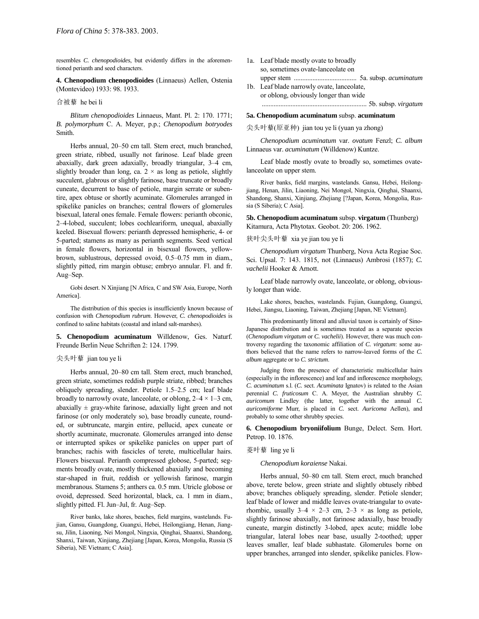resembles *C. chenopodioides*, but evidently differs in the aforementioned perianth and seed characters.

**4. Chenopodium chenopodioides** (Linnaeus) Aellen, Ostenia (Montevideo) 1933: 98. 1933.

## 合被藜 he bei li

*Blitum chenopodioides* Linnaeus, Mant. Pl. 2: 170. 1771; *B. polymorphum* C. A. Meyer, p.p.; *Chenopodium botryodes* Smith.

Herbs annual, 20-50 cm tall. Stem erect, much branched, green striate, ribbed, usually not farinose. Leaf blade green abaxially, dark green adaxially, broadly triangular, 3-4 cm, slightly broader than long, ca.  $2 \times$  as long as petiole, slightly succulent, glabrous or slightly farinose, base truncate or broadly cuneate, decurrent to base of petiole, margin serrate or subentire, apex obtuse or shortly acuminate. Glomerules arranged in spikelike panicles on branches; central flowers of glomerules bisexual, lateral ones female. Female flowers: perianth obconic, 2-4-lobed, succulent; lobes cochleariform, unequal, abaxially keeled. Bisexual flowers: perianth depressed hemispheric, 4- or 5-parted; stamens as many as perianth segments. Seed vertical in female flowers, horizontal in bisexual flowers, yellowbrown, sublustrous, depressed ovoid, 0.5-0.75 mm in diam., slightly pitted, rim margin obtuse; embryo annular. Fl. and fr. Aug-Sep.

Gobi desert. N Xinjiang [N Africa, C and SW Asia, Europe, North America].

The distribution of this species is insufficiently known because of confusion with *Chenopodium rubrum*. However, *C. chenopodioides* is confined to saline habitats (coastal and inland salt-marshes).

**5. Chenopodium acuminatum** Willdenow, Ges. Naturf. Freunde Berlin Neue Schriften 2: 124. 1799.

#### 尖头叶藜 jian tou ye li

Herbs annual, 20-80 cm tall. Stem erect, much branched, green striate, sometimes reddish purple striate, ribbed; branches obliquely spreading, slender. Petiole  $1.5-2.5$  cm; leaf blade broadly to narrowly ovate, lanceolate, or oblong,  $2-4 \times 1-3$  cm, abaxially  $\pm$  gray-white farinose, adaxially light green and not farinose (or only moderately so), base broadly cuneate, rounded, or subtruncate, margin entire, pellucid, apex cuneate or shortly acuminate, mucronate. Glomerules arranged into dense or interrupted spikes or spikelike panicles on upper part of branches; rachis with fascicles of terete, multicellular hairs. Flowers bisexual. Perianth compressed globose, 5-parted; segments broadly ovate, mostly thickened abaxially and becoming star-shaped in fruit, reddish or yellowish farinose, margin membranous. Stamens 5; anthers ca. 0.5 mm. Utricle globose or ovoid, depressed. Seed horizontal, black, ca. 1 mm in diam., slightly pitted. Fl. Jun–Jul, fr. Aug–Sep.

River banks, lake shores, beaches, field margins, wastelands. Fujian, Gansu, Guangdong, Guangxi, Hebei, Heilongjiang, Henan, Jiangsu, Jilin, Liaoning, Nei Mongol, Ningxia, Qinghai, Shaanxi, Shandong, Shanxi, Taiwan, Xinjiang, Zhejiang [Japan, Korea, Mongolia, Russia (S Siberia), NE Vietnam; C Asia].

- 1a. Leaf blade mostly ovate to broadly so, sometimes ovate-lanceolate on upper stem ..................................... 5a. subsp. *acuminatum* 1b. Leaf blade narrowly ovate, lanceolate,
- or oblong, obviously longer than wide .............................................................. 5b. subsp. *virgatum*

### **5a. Chenopodium acuminatum** subsp. **acuminatum**

## 尖头叶藜(原亚种) jian tou ye li (yuan ya zhong)

*Chenopodium acuminatum* var. *ovatum* Fenzl; *C. album* Linnaeus var. *acuminatum* (Willdenow) Kuntze.

Leaf blade mostly ovate to broadly so, sometimes ovatelanceolate on upper stem.

River banks, field margins, wastelands. Gansu, Hebei, Heilongjiang, Henan, Jilin, Liaoning, Nei Mongol, Ningxia, Qinghai, Shaanxi, Shandong, Shanxi, Xinjiang, Zhejiang [?Japan, Korea, Mongolia, Russia (S Siberia); C Asia].

**5b. Chenopodium acuminatum** subsp. **virgatum** (Thunberg) Kitamura, Acta Phytotax. Geobot. 20: 206. 1962.

### 狭叶尖头叶藜 xia ye jian tou ye li

*Chenopodium virgatum* Thunberg, Nova Acta Regiae Soc. Sci. Upsal. 7: 143. 1815, not (Linnaeus) Ambrosi (1857); *C. vachelii* Hooker & Arnott.

Leaf blade narrowly ovate, lanceolate, or oblong, obviously longer than wide.

Lake shores, beaches, wastelands. Fujian, Guangdong, Guangxi, Hebei, Jiangsu, Liaoning, Taiwan, Zhejiang [Japan, NE Vietnam].

This predominantly littoral and alluvial taxon is certainly of Sino-Japanese distribution and is sometimes treated as a separate species (*Chenopodium virgatum* or *C. vachelii*). However, there was much controversy regarding the taxonomic affiliation of *C. virgatum*: some authors believed that the name refers to narrow-leaved forms of the *C. album* aggregate or to *C. strictum*.

Judging from the presence of characteristic multicellular hairs (especially in the inflorescence) and leaf and inflorescence morphology, *C. acuminatum* s.l. (*C.* sect. *Acuminata* Ignatov) is related to the Asian perennial *C. fruticosum* C. A. Meyer, the Australian shrubby *C. auricomum* Lindley (the latter, together with the annual *C. auricomiforme* Murr, is placed in *C.* sect. *Auricoma* Aellen), and probably to some other shrubby species.

**6. Chenopodium bryoniifolium** Bunge, Delect. Sem. Hort. Petrop. 10. 1876.

### 菱叶藜 ling ye li

*Chenopodium koraiense* Nakai.

Herbs annual, 50-80 cm tall. Stem erect, much branched above, terete below, green striate and slightly obtusely ribbed above; branches obliquely spreading, slender. Petiole slender; leaf blade of lower and middle leaves ovate-triangular to ovaterhombic, usually  $3-4 \times 2-3$  cm,  $2-3 \times$  as long as petiole, slightly farinose abaxially, not farinose adaxially, base broadly cuneate, margin distinctly 3-lobed, apex acute; middle lobe triangular, lateral lobes near base, usually 2-toothed; upper leaves smaller, leaf blade subhastate. Glomerules borne on upper branches, arranged into slender, spikelike panicles. Flow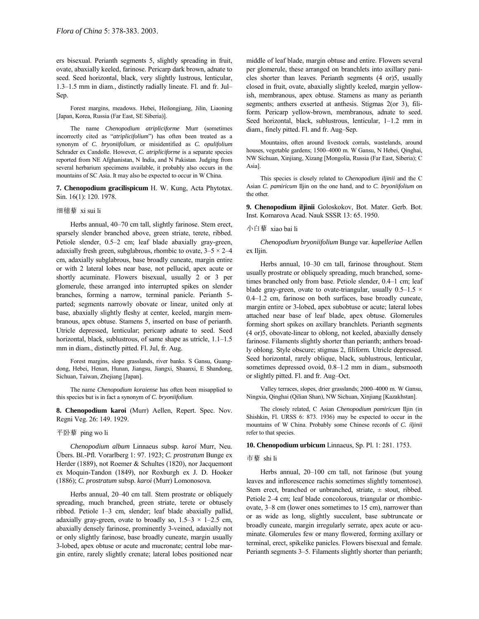ers bisexual. Perianth segments 5, slightly spreading in fruit, ovate, abaxially keeled, farinose. Pericarp dark brown, adnate to seed. Seed horizontal, black, very slightly lustrous, lenticular, 1.3–1.5 mm in diam., distinctly radially lineate. Fl. and fr. Jul-Sep.

Forest margins, meadows. Hebei, Heilongjiang, Jilin, Liaoning [Japan, Korea, Russia (Far East, SE Siberia)].

The name *Chenopodium atripliciforme* Murr (sometimes incorrectly cited as "*atriplicifolium*") has often been treated as a synonym of *C. bryoniifolium*, or misidentified as *C. opulifolium* Schrader ex Candolle. However, *C. atripliciforme* is a separate species reported from NE Afghanistan, N India, and N Pakistan. Judging from several herbarium specimens available, it probably also occurs in the mountains of SC Asia. It may also be expected to occur in W China.

**7. Chenopodium gracilispicum** H. W. Kung, Acta Phytotax. Sin. 16(1): 120. 1978.

### 细穗藜 xi sui li

Herbs annual, 40–70 cm tall, slightly farinose. Stem erect, sparsely slender branched above, green striate, terete, ribbed. Petiole slender, 0.5–2 cm; leaf blade abaxially gray-green, adaxially fresh green, subglabrous, rhombic to ovate,  $3-5 \times 2-4$ cm, adaxially subglabrous, base broadly cuneate, margin entire or with 2 lateral lobes near base, not pellucid, apex acute or shortly acuminate. Flowers bisexual, usually 2 or 3 per glomerule, these arranged into interrupted spikes on slender branches, forming a narrow, terminal panicle. Perianth 5 parted; segments narrowly obovate or linear, united only at base, abaxially slightly fleshy at center, keeled, margin membranous, apex obtuse. Stamens 5, inserted on base of perianth. Utricle depressed, lenticular; pericarp adnate to seed. Seed horizontal, black, sublustrous, of same shape as utricle, 1.1-1.5 mm in diam., distinctly pitted. Fl. Jul, fr. Aug.

Forest margins, slope grasslands, river banks. S Gansu, Guangdong, Hebei, Henan, Hunan, Jiangsu, Jiangxi, Shaanxi, E Shandong, Sichuan, Taiwan, Zhejiang [Japan].

The name *Chenopodium koraiense* has often been misapplied to this species but is in fact a synonym of *C. bryoniifolium*.

**8. Chenopodium karoi** (Murr) Aellen, Repert. Spec. Nov. Regni Veg. 26: 149. 1929.

### 平卧藜 ping wo li

*Chenopodium album* Linnaeus subsp. *karoi* Murr, Neu. Übers. Bl.-Pfl. Vorarlberg 1: 97. 1923; *C. prostratum* Bunge ex Herder (1889), not Roemer & Schultes (1820), nor Jacquemont ex Moquin-Tandon (1849), nor Roxburgh ex J. D. Hooker (1886); *C. prostratum* subsp. *karoi* (Murr) Lomonosova.

Herbs annual, 20-40 cm tall. Stem prostrate or obliquely spreading, much branched, green striate, terete or obtusely ribbed. Petiole 1-3 cm, slender; leaf blade abaxially pallid, adaxially gray-green, ovate to broadly so,  $1.5-3 \times 1-2.5$  cm, abaxially densely farinose, prominently 3-veined, adaxially not or only slightly farinose, base broadly cuneate, margin usually 3-lobed, apex obtuse or acute and mucronate; central lobe margin entire, rarely slightly crenate; lateral lobes positioned near middle of leaf blade, margin obtuse and entire. Flowers several per glomerule, these arranged on branchlets into axillary panicles shorter than leaves. Perianth segments (4 or)5, usually closed in fruit, ovate, abaxially slightly keeled, margin yellowish, membranous, apex obtuse. Stamens as many as perianth segments; anthers exserted at anthesis. Stigmas 2(or 3), filiform. Pericarp yellow-brown, membranous, adnate to seed. Seed horizontal, black, sublustrous, lenticular, 1-1.2 mm in diam., finely pitted. Fl. and fr. Aug-Sep.

Mountains, often around livestock corrals, wastelands, around houses, vegetable gardens; 1500-4000 m. W Gansu, N Hebei, Qinghai, NW Sichuan, Xinjiang, Xizang [Mongolia, Russia (Far East, Siberia); C Asia].

This species is closely related to *Chenopodium iljinii* and the C Asian *C. pamiricum* Iljin on the one hand, and to *C. bryoniifolium* on the other.

**9. Chenopodium iljinii** Goloskokov, Bot. Mater. Gerb. Bot. Inst. Komarova Acad. Nauk SSSR 13: 65. 1950.

#### 小白藜 xiao bai li

*Chenopodium bryoniifolium* Bunge var. *kapelleriae* Aellen ex Iljin.

Herbs annual, 10–30 cm tall, farinose throughout. Stem usually prostrate or obliquely spreading, much branched, sometimes branched only from base. Petiole slender, 0.4-1 cm; leaf blade gray-green, ovate to ovate-triangular, usually  $0.5-1.5 \times$  $0.4-1.2$  cm, farinose on both surfaces, base broadly cuneate, margin entire or 3-lobed, apex subobtuse or acute; lateral lobes attached near base of leaf blade, apex obtuse. Glomerules forming short spikes on axillary branchlets. Perianth segments (4 or)5, obovate-linear to oblong, not keeled, abaxially densely farinose. Filaments slightly shorter than perianth; anthers broadly oblong. Style obscure; stigmas 2, filiform. Utricle depressed. Seed horizontal, rarely oblique, black, sublustrous, lenticular, sometimes depressed ovoid, 0.8–1.2 mm in diam., subsmooth or slightly pitted. Fl. and fr. Aug–Oct.

Valley terraces, slopes, drier grasslands; 2000-4000 m. W Gansu, Ningxia, Qinghai (Qilian Shan), NW Sichuan, Xinjiang [Kazakhstan].

The closely related, C Asian *Chenopodium pamiricum* Iljin (in Shishkin, Fl. URSS 6: 873. 1936) may be expected to occur in the mountains of W China. Probably some Chinese records of *C. iljinii* refer to that species.

### **10. Chenopodium urbicum** Linnaeus, Sp. Pl. 1: 281. 1753.

#### 市藜 shi li

Herbs annual,  $20-100$  cm tall, not farinose (but young leaves and inflorescence rachis sometimes slightly tomentose). Stem erect, branched or unbranched, striate, ± stout, ribbed. Petiole 2–4 cm; leaf blade concolorous, triangular or rhombicovate,  $3-8$  cm (lower ones sometimes to 15 cm), narrower than or as wide as long, slightly succulent, base subtruncate or broadly cuneate, margin irregularly serrate, apex acute or acuminate. Glomerules few or many flowered, forming axillary or terminal, erect, spikelike panicles. Flowers bisexual and female. Perianth segments 3–5. Filaments slightly shorter than perianth;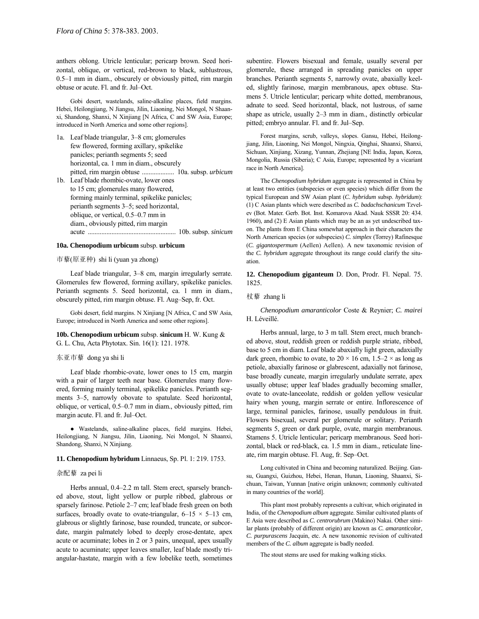anthers oblong. Utricle lenticular; pericarp brown. Seed horizontal, oblique, or vertical, red-brown to black, sublustrous,  $0.5-1$  mm in diam., obscurely or obviously pitted, rim margin obtuse or acute. Fl. and fr. Jul-Oct.

Gobi desert, wastelands, saline-alkaline places, field margins. Hebei, Heilongjiang, N Jiangsu, Jilin, Liaoning, Nei Mongol, N Shaanxi, Shandong, Shanxi, N Xinjiang [N Africa, C and SW Asia, Europe; introduced in North America and some other regions].

- 1a. Leaf blade triangular, 3–8 cm; glomerules few flowered, forming axillary, spikelike panicles; perianth segments 5; seed horizontal, ca. 1 mm in diam., obscurely pitted, rim margin obtuse ................... 10a. subsp. *urbicum* 1b. Leaf blade rhombic-ovate, lower ones
- to 15 cm; glomerules many flowered, forming mainly terminal, spikelike panicles; perianth segments  $3-5$ ; seed horizontal, oblique, or vertical, 0.5–0.7 mm in diam., obviously pitted, rim margin acute .................................................... 10b. subsp. *sinicum*

## **10a. Chenopodium urbicum** subsp. **urbicum**

#### 市藜(原亚种) shi li (yuan ya zhong)

Leaf blade triangular, 3–8 cm, margin irregularly serrate. Glomerules few flowered, forming axillary, spikelike panicles. Perianth segments 5. Seed horizontal, ca. 1 mm in diam., obscurely pitted, rim margin obtuse. Fl. Aug–Sep, fr. Oct.

Gobi desert, field margins. N Xinjiang [N Africa, C and SW Asia, Europe; introduced in North America and some other regions].

**10b. Chenopodium urbicum** subsp. **sinicum** H. W. Kung & G. L. Chu, Acta Phytotax. Sin. 16(1): 121. 1978.

## 东亚市藜 dong ya shi li

Leaf blade rhombic-ovate, lower ones to 15 cm, margin with a pair of larger teeth near base. Glomerules many flowered, forming mainly terminal, spikelike panicles. Perianth segments 3–5, narrowly obovate to spatulate. Seed horizontal, oblique, or vertical, 0.5–0.7 mm in diam., obviously pitted, rim margin acute. Fl. and fr. Jul-Oct.

● Wastelands, saline-alkaline places, field margins. Hebei, Heilongjiang, N Jiangsu, Jilin, Liaoning, Nei Mongol, N Shaanxi, Shandong, Shanxi, N Xinjiang.

#### **11. Chenopodium hybridum** Linnaeus, Sp. Pl. 1: 219. 1753.

### 杂配藜 za pei li

Herbs annual, 0.4-2.2 m tall. Stem erect, sparsely branched above, stout, light yellow or purple ribbed, glabrous or sparsely farinose. Petiole  $2-7$  cm; leaf blade fresh green on both surfaces, broadly ovate to ovate-triangular,  $6-15 \times 5-13$  cm, glabrous or slightly farinose, base rounded, truncate, or subcordate, margin palmately lobed to deeply erose-dentate, apex acute or acuminate; lobes in 2 or 3 pairs, unequal, apex usually acute to acuminate; upper leaves smaller, leaf blade mostly triangular-hastate, margin with a few lobelike teeth, sometimes subentire. Flowers bisexual and female, usually several per glomerule, these arranged in spreading panicles on upper branches. Perianth segments 5, narrowly ovate, abaxially keeled, slightly farinose, margin membranous, apex obtuse. Stamens 5. Utricle lenticular; pericarp white dotted, membranous, adnate to seed. Seed horizontal, black, not lustrous, of same shape as utricle, usually 2-3 mm in diam., distinctly orbicular pitted; embryo annular. Fl. and fr. Jul–Sep.

Forest margins, scrub, valleys, slopes. Gansu, Hebei, Heilongjiang, Jilin, Liaoning, Nei Mongol, Ningxia, Qinghai, Shaanxi, Shanxi, Sichuan, Xinjiang, Xizang, Yunnan, Zhejiang [NE India, Japan, Korea, Mongolia, Russia (Siberia); C Asia, Europe; represented by a vicariant race in North America].

The *Chenopodium hybridum* aggregate is represented in China by at least two entities (subspecies or even species) which differ from the typical European and SW Asian plant (*C. hybridum* subsp. *hybridum*): (1) C Asian plants which were described as *C. badachschanicum* Tzvelev (Bot. Mater. Gerb. Bot. Inst. Komarova Akad. Nauk SSSR 20: 434. 1960), and (2) E Asian plants which may be an as yet undescribed taxon. The plants from E China somewhat approach in their characters the North American species (or subspecies) *C. simplex* (Torrey) Rafinesque (*C. gigantospermum* (Aellen) Aellen). A new taxonomic revision of the *C. hybridum* aggregate throughout its range could clarify the situation.

**12. Chenopodium giganteum** D. Don, Prodr. Fl. Nepal. 75. 1825.

#### 杖藜 zhang li

*Chenopodium amaranticolor* Coste & Reynier; *C. mairei* H. Léveillé.

Herbs annual, large, to 3 m tall. Stem erect, much branched above, stout, reddish green or reddish purple striate, ribbed, base to 5 cm in diam. Leaf blade abaxially light green, adaxially dark green, rhombic to ovate, to  $20 \times 16$  cm,  $1.5-2 \times$  as long as petiole, abaxially farinose or glabrescent, adaxially not farinose, base broadly cuneate, margin irregularly undulate serrate, apex usually obtuse; upper leaf blades gradually becoming smaller, ovate to ovate-lanceolate, reddish or golden yellow vesicular hairy when young, margin serrate or entire. Inflorescence of large, terminal panicles, farinose, usually pendulous in fruit. Flowers bisexual, several per glomerule or solitary. Perianth segments 5, green or dark purple, ovate, margin membranous. Stamens 5. Utricle lenticular; pericarp membranous. Seed horizontal, black or red-black, ca. 1.5 mm in diam., reticulate lineate, rim margin obtuse. Fl. Aug, fr. Sep-Oct.

Long cultivated in China and becoming naturalized. Beijing. Gansu, Guangxi, Guizhou, Hebei, Henan, Hunan, Liaoning, Shaanxi, Sichuan, Taiwan, Yunnan [native origin unknown; commonly cultivated in many countries of the world].

This plant most probably represents a cultivar, which originated in India, of the *Chenopodium album* aggregate. Similar cultivated plants of E Asia were described as *C. centrorubrum* (Makino) Nakai. Other similar plants (probably of different origin) are known as *C. amaranticolor*, *C. purpurascens* Jacquin, etc. A new taxonomic revision of cultivated members of the *C. album* aggregate is badly needed.

The stout stems are used for making walking sticks.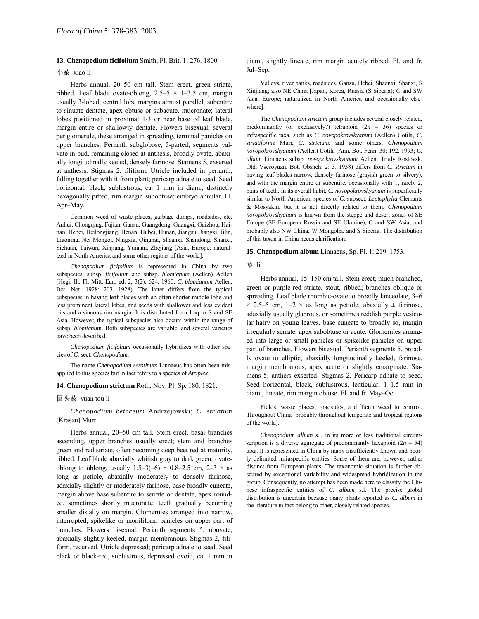## **13. Chenopodium ficifolium** Smith, Fl. Brit. 1: 276. 1800.

## 小藜 xiao li

Herbs annual, 20–50 cm tall. Stem erect, green striate, ribbed. Leaf blade ovate-oblong,  $2.5-5 \times 1-3.5$  cm, margin usually 3-lobed; central lobe margins almost parallel, subentire to sinuate-dentate, apex obtuse or subacute, mucronate; lateral lobes positioned in proximal 1/3 or near base of leaf blade, margin entire or shallowly dentate. Flowers bisexual, several per glomerule, these arranged in spreading, terminal panicles on upper branches. Perianth subglobose, 5-parted; segments valvate in bud, remaining closed at anthesis, broadly ovate, abaxially longitudinally keeled, densely farinose. Stamens 5, exserted at anthesis. Stigmas 2, filiform. Utricle included in perianth, falling together with it from plant; pericarp adnate to seed. Seed horizontal, black, sublustrous, ca. 1 mm in diam., distinctly hexagonally pitted, rim margin subobtuse; embryo annular. Fl. Apr-May.

Common weed of waste places, garbage dumps, roadsides, etc. Anhui, Chongqing, Fujian, Gansu, Guangdong, Guangxi, Guizhou, Hainan, Hebei, Heilongjiang, Henan, Hubei, Hunan, Jiangsu, Jiangxi, Jilin, Liaoning, Nei Mongol, Ningxia, Qinghai, Shaanxi, Shandong, Shanxi, Sichuan, Taiwan, Xinjiang, Yunnan, Zhejiang [Asia, Europe; naturalized in North America and some other regions of the world].

*Chenopodium ficifolium* is represented in China by two subspecies: subsp. *ficifolium* and subsp. *blomianum* (Aellen) Aellen (Hegi, Ill. Fl. Mitt.-Eur., ed. 2, 3(2): 624. 1960; *C. blomianum* Aellen, Bot. Not. 1928: 203. 1928). The latter differs from the typical subspecies in having leaf blades with an often shorter middle lobe and less prominent lateral lobes, and seeds with shallower and less evident pits and a sinuous rim margin. It is distributed from Iraq to S and SE Asia. However, the typical subspecies also occurs within the range of subsp. *blomianum*. Both subspecies are variable, and several varieties have been described.

*Chenopodium ficifolium* occasionally hybridizes with other species of *C.* sect. *Chenopodium*.

The name *Chenopodium serotinum* Linnaeus has often been misapplied to this species but in fact refers to a species of *Atriplex*.

**14. Chenopodium strictum** Roth, Nov. Pl. Sp. 180. 1821.

## 圆头藜 yuan tou li

*Chenopodium betaceum* Andrzejowski; *C. striatum* (Kraöan) Murr.

Herbs annual, 20–50 cm tall. Stem erect, basal branches ascending, upper branches usually erect; stem and branches green and red striate, often becoming deep beet red at maturity, ribbed. Leaf blade abaxially whitish gray to dark green, ovateoblong to oblong, usually  $1.5-3(-6) \times 0.8-2.5$  cm,  $2-3 \times$  as long as petiole, abaxially moderately to densely farinose, adaxially slightly or moderately farinose, base broadly cuneate, margin above base subentire to serrate or dentate, apex rounded, sometimes shortly mucronate; teeth gradually becoming smaller distally on margin. Glomerules arranged into narrow, interrupted, spikelike or moniliform panicles on upper part of branches. Flowers bisexual. Perianth segments 5, obovate, abaxially slightly keeled, margin membranous. Stigmas 2, filiform, recurved. Utricle depressed; pericarp adnate to seed. Seed black or black-red, sublustrous, depressed ovoid, ca. 1 mm in diam., slightly lineate, rim margin acutely ribbed. Fl. and fr. Jul-Sep.

Valleys, river banks, roadsides. Gansu, Hebei, Shaanxi, Shanxi, S Xinjiang; also NE China [Japan, Korea, Russia (S Siberia); C and SW Asia, Europe; naturalized in North America and occasionally elsewhere].

The *Chenopodium strictum* group includes several closely related, predominantly (or exclusively?) tetraploid  $(2n = 36)$  species or infraspecific taxa, such as *C. novopokrovskyanum* (Aellen) Uotila, *C. striatiforme* Murr, *C. strictum*, and some others. *Chenopodium novopokrovskyanum* (Aellen) Uotila (Ann. Bot. Fenn. 30: 192. 1993; *C. album* Linnaeus subsp. *novopokrovskyanum* Aellen, Trudy Rostovsk. Otd. Vsesoyuzn. Bot. Obshch. 2: 3. 1938) differs from *C. strictum* in having leaf blades narrow, densely farinose (grayish green to silvery), and with the margin entire or subentire, occasionally with 1, rarely 2, pairs of teeth. In its overall habit, *C. novopokrovskyanum* is superficially similar to North American species of *C.* subsect. *Leptophylla* Clemants & Mosyakin, but it is not directly related to them. *Chenopodium novopokrovskyanum* is known from the steppe and desert zones of SE Europe (SE European Russia and SE Ukraine), C and SW Asia, and probably also NW China, W Mongolia, and S Siberia. The distribution of this taxon in China needs clarification.

#### **15. Chenopodium album** Linnaeus, Sp. Pl. 1: 219. 1753.

#### 藜 li

Herbs annual, 15-150 cm tall. Stem erect, much branched, green or purple-red striate, stout, ribbed; branches oblique or spreading. Leaf blade rhombic-ovate to broadly lanceolate, 3-6  $\times$  2.5–5 cm, 1–2  $\times$  as long as petiole, abaxially  $\pm$  farinose, adaxially usually glabrous, or sometimes reddish purple vesicular hairy on young leaves, base cuneate to broadly so, margin irregularly serrate, apex subobtuse or acute. Glomerules arranged into large or small panicles or spikelike panicles on upper part of branches. Flowers bisexual. Perianth segments 5, broadly ovate to elliptic, abaxially longitudinally keeled, farinose, margin membranous, apex acute or slightly emarginate. Stamens 5; anthers exserted. Stigmas 2. Pericarp adnate to seed. Seed horizontal, black, sublustrous, lenticular,  $1-1.5$  mm in diam., lineate, rim margin obtuse. Fl. and fr. May–Oct.

Fields, waste places, roadsides, a difficult weed to control. Throughout China [probably throughout temperate and tropical regions of the world].

*Chenopodium album* s.l. in its more or less traditional circumscription is a diverse aggregate of predominantly hexaploid  $(2n = 54)$ taxa. It is represented in China by many insufficiently known and poorly delimited infraspecific entities. Some of them are, however, rather distinct from European plants. The taxonomic situation is further obscured by exceptional variability and widespread hybridization in the group. Consequently, no attempt has been made here to classify the Chinese infraspecific entities of *C. album* s.l. The precise global distribution is uncertain because many plants reported as *C. album* in the literature in fact belong to other, closely related species.